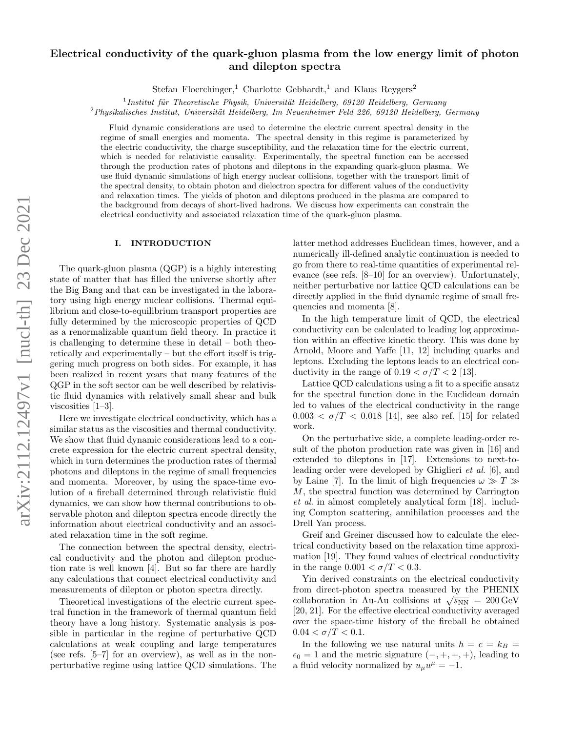# Electrical conductivity of the quark-gluon plasma from the low energy limit of photon and dilepton spectra

Stefan Floerchinger,<sup>1</sup> Charlotte Gebhardt,<sup>1</sup> and Klaus Reygers<sup>2</sup>

 $1$ Institut für Theoretische Physik, Universität Heidelberg, 69120 Heidelberg, Germany

 $2$ Physikalisches Institut, Universität Heidelberg, Im Neuenheimer Feld 226, 69120 Heidelberg, Germany

Fluid dynamic considerations are used to determine the electric current spectral density in the regime of small energies and momenta. The spectral density in this regime is parameterized by the electric conductivity, the charge susceptibility, and the relaxation time for the electric current, which is needed for relativistic causality. Experimentally, the spectral function can be accessed through the production rates of photons and dileptons in the expanding quark-gluon plasma. We use fluid dynamic simulations of high energy nuclear collisions, together with the transport limit of the spectral density, to obtain photon and dielectron spectra for different values of the conductivity and relaxation times. The yields of photon and dileptons produced in the plasma are compared to the background from decays of short-lived hadrons. We discuss how experiments can constrain the electrical conductivity and associated relaxation time of the quark-gluon plasma.

## I. INTRODUCTION

The quark-gluon plasma (QGP) is a highly interesting state of matter that has filled the universe shortly after the Big Bang and that can be investigated in the laboratory using high energy nuclear collisions. Thermal equilibrium and close-to-equilibrium transport properties are fully determined by the microscopic properties of QCD as a renormalizable quantum field theory. In practice it is challenging to determine these in detail – both theoretically and experimentally – but the effort itself is triggering much progress on both sides. For example, it has been realized in recent years that many features of the QGP in the soft sector can be well described by relativistic fluid dynamics with relatively small shear and bulk viscosities [\[1](#page-5-0)[–3\]](#page-5-1).

Here we investigate electrical conductivity, which has a similar status as the viscosities and thermal conductivity. We show that fluid dynamic considerations lead to a concrete expression for the electric current spectral density, which in turn determines the production rates of thermal photons and dileptons in the regime of small frequencies and momenta. Moreover, by using the space-time evolution of a fireball determined through relativistic fluid dynamics, we can show how thermal contributions to observable photon and dilepton spectra encode directly the information about electrical conductivity and an associated relaxation time in the soft regime.

The connection between the spectral density, electrical conductivity and the photon and dilepton production rate is well known [\[4\]](#page-5-2). But so far there are hardly any calculations that connect electrical conductivity and measurements of dilepton or photon spectra directly.

Theoretical investigations of the electric current spectral function in the framework of thermal quantum field theory have a long history. Systematic analysis is possible in particular in the regime of perturbative QCD calculations at weak coupling and large temperatures (see refs. [\[5–](#page-5-3)[7\]](#page-5-4) for an overview), as well as in the nonperturbative regime using lattice QCD simulations. The latter method addresses Euclidean times, however, and a numerically ill-defined analytic continuation is needed to go from there to real-time quantities of experimental relevance (see refs. [\[8–](#page-5-5)[10\]](#page-5-6) for an overview). Unfortunately, neither perturbative nor lattice QCD calculations can be directly applied in the fluid dynamic regime of small frequencies and momenta [\[8\]](#page-5-5).

In the high temperature limit of QCD, the electrical conductivity can be calculated to leading log approximation within an effective kinetic theory. This was done by Arnold, Moore and Yaffe [\[11,](#page-5-7) [12\]](#page-5-8) including quarks and leptons. Excluding the leptons leads to an electrical conductivity in the range of  $0.19 < \sigma/T < 2$  [\[13\]](#page-5-9).

Lattice QCD calculations using a fit to a specific ansatz for the spectral function done in the Euclidean domain led to values of the electrical conductivity in the range  $0.003 < \sigma/T < 0.018$  [\[14\]](#page-5-10), see also ref. [\[15\]](#page-5-11) for related work.

On the perturbative side, a complete leading-order result of the photon production rate was given in [\[16\]](#page-5-12) and extended to dileptons in [\[17\]](#page-5-13). Extensions to next-toleading order were developed by Ghiglieri et al. [\[6\]](#page-5-14), and by Laine [\[7\]](#page-5-4). In the limit of high frequencies  $\omega \gg T \gg$ M, the spectral function was determined by Carrington et al. in almost completely analytical form [\[18\]](#page-5-15). including Compton scattering, annihilation processes and the Drell Yan process.

Greif and Greiner discussed how to calculate the electrical conductivity based on the relaxation time approximation [\[19\]](#page-5-16). They found values of electrical conductivity in the range  $0.001 < \sigma/T < 0.3$ .

Yin derived constraints on the electrical conductivity from direct-photon spectra measured by the PHENIX collaboration in Au-Au collisions at  $\sqrt{s_{NN}} = 200 \,\text{GeV}$ [\[20,](#page-5-17) [21\]](#page-5-18). For the effective electrical conductivity averaged over the space-time history of the fireball he obtained  $0.04 < \sigma/T < 0.1$ .

In the following we use natural units  $\hbar = c = k_B$  =  $\epsilon_0 = 1$  and the metric signature  $(-, +, +, +)$ , leading to a fluid velocity normalized by  $u_{\mu}u^{\mu} = -1$ .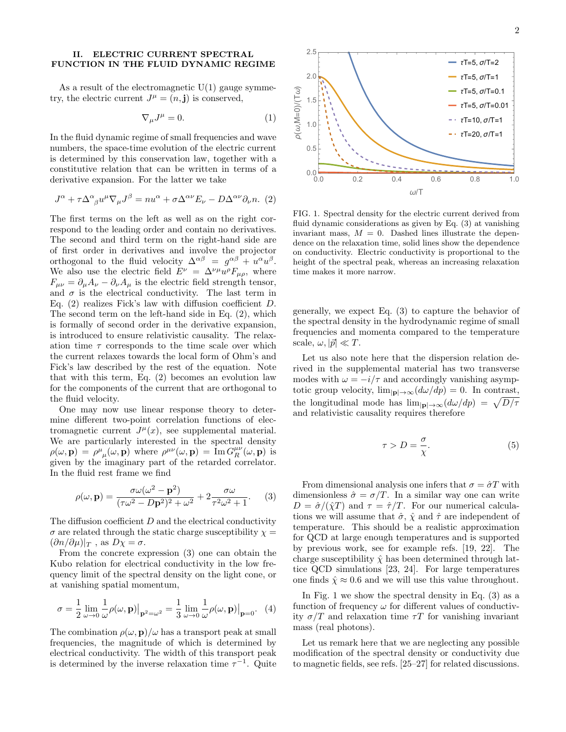### II. ELECTRIC CURRENT SPECTRAL FUNCTION IN THE FLUID DYNAMIC REGIME

As a result of the electromagnetic  $U(1)$  gauge symmetry, the electric current  $J^{\mu} = (n, \mathbf{j})$  is conserved,

<span id="page-1-5"></span>
$$
\nabla_{\mu}J^{\mu} = 0. \tag{1}
$$

In the fluid dynamic regime of small frequencies and wave numbers, the space-time evolution of the electric current is determined by this conservation law, together with a constitutive relation that can be written in terms of a derivative expansion. For the latter we take

<span id="page-1-0"></span>
$$
J^{\alpha} + \tau \Delta^{\alpha}{}_{\beta} u^{\mu} \nabla_{\mu} J^{\beta} = n u^{\alpha} + \sigma \Delta^{\alpha \nu} E_{\nu} - D \Delta^{\alpha \nu} \partial_{\nu} n. (2)
$$

The first terms on the left as well as on the right correspond to the leading order and contain no derivatives. The second and third term on the right-hand side are of first order in derivatives and involve the projector orthogonal to the fluid velocity  $\Delta^{\alpha\beta} = g^{\alpha\beta} + u^{\alpha}u^{\beta}$ . We also use the electric field  $E^{\nu} = \Delta^{\nu \mu} u^{\rho} F_{\mu \rho}$ , where  $F_{\mu\nu} = \partial_{\mu}A_{\nu} - \partial_{\nu}A_{\mu}$  is the electric field strength tensor, and  $\sigma$  is the electrical conductivity. The last term in Eq. [\(2\)](#page-1-0) realizes Fick's law with diffusion coefficient D. The second term on the left-hand side in Eq. [\(2\)](#page-1-0), which is formally of second order in the derivative expansion, is introduced to ensure relativistic causality. The relaxation time  $\tau$  corresponds to the time scale over which the current relaxes towards the local form of Ohm's and Fick's law described by the rest of the equation. Note that with this term, Eq. [\(2\)](#page-1-0) becomes an evolution law for the components of the current that are orthogonal to the fluid velocity.

One may now use linear response theory to determine different two-point correlation functions of electromagnetic current  $J^{\mu}(x)$ , see supplemental material. We are particularly interested in the spectral density  $\rho(\omega, \mathbf{p}) = \rho^{\mu}{}_{\mu}(\omega, \mathbf{p})$  where  $\rho^{\mu\nu}(\omega, \mathbf{p}) = \text{Im} G_R^{\mu\nu}(\omega, \mathbf{p})$  is given by the imaginary part of the retarded correlator. In the fluid rest frame we find

<span id="page-1-1"></span>
$$
\rho(\omega, \mathbf{p}) = \frac{\sigma \omega (\omega^2 - \mathbf{p}^2)}{(\tau \omega^2 - D\mathbf{p}^2)^2 + \omega^2} + 2\frac{\sigma \omega}{\tau^2 \omega^2 + 1}.
$$
 (3)

The diffusion coefficient D and the electrical conductivity  $\sigma$  are related through the static charge susceptibility  $\chi =$  $(\partial n/\partial \mu)|_T$ , as  $D\chi = \sigma$ .

From the concrete expression [\(3\)](#page-1-1) one can obtain the Kubo relation for electrical conductivity in the low frequency limit of the spectral density on the light cone, or at vanishing spatial momentum,

<span id="page-1-3"></span>
$$
\sigma = \frac{1}{2} \lim_{\omega \to 0} \frac{1}{\omega} \rho(\omega, \mathbf{p}) \big|_{\mathbf{p}^2 = \omega^2} = \frac{1}{3} \lim_{\omega \to 0} \frac{1}{\omega} \rho(\omega, \mathbf{p}) \big|_{\mathbf{p} = 0}.
$$
 (4)

The combination  $\rho(\omega, \mathbf{p})/\omega$  has a transport peak at small frequencies, the magnitude of which is determined by electrical conductivity. The width of this transport peak is determined by the inverse relaxation time  $\tau^{-1}$ . Quite



<span id="page-1-2"></span>FIG. 1. Spectral density for the electric current derived from fluid dynamic considerations as given by Eq. [\(3\)](#page-1-1) at vanishing invariant mass,  $M = 0$ . Dashed lines illustrate the dependence on the relaxation time, solid lines show the dependence on conductivity. Electric conductivity is proportional to the height of the spectral peak, whereas an increasing relaxation time makes it more narrow.

generally, we expect Eq. [\(3\)](#page-1-1) to capture the behavior of the spectral density in the hydrodynamic regime of small frequencies and momenta compared to the temperature scale,  $\omega$ ,  $|\vec{p}| \ll T$ .

Let us also note here that the dispersion relation derived in the supplemental material has two transverse modes with  $\omega = -i/\tau$  and accordingly vanishing asymptotic group velocity,  $\lim_{|\mathbf{p}|\to\infty} (d\omega/dp) = 0$ . In contrast, the longitudinal mode has  $\lim_{|\mathbf{p}|\to\infty} (d\omega/dp) = \sqrt{D/\tau}$ and relativistic causality requires therefore

<span id="page-1-4"></span>
$$
\tau > D = \frac{\sigma}{\chi}.\tag{5}
$$

From dimensional analysis one infers that  $\sigma = \hat{\sigma} T$  with dimensionless  $\hat{\sigma} = \sigma/T$ . In a similar way one can write  $D = \hat{\sigma}/(\hat{\chi}T)$  and  $\tau = \hat{\tau}/T$ . For our numerical calculations we will assume that  $\hat{\sigma}$ ,  $\hat{\chi}$  and  $\hat{\tau}$  are independent of temperature. This should be a realistic approximation for QCD at large enough temperatures and is supported by previous work, see for example refs. [\[19,](#page-5-16) [22\]](#page-5-19). The charge susceptibility  $\hat{\chi}$  has been determined through lattice QCD simulations [\[23,](#page-5-20) [24\]](#page-5-21). For large temperatures one finds  $\hat{\chi} \approx 0.6$  and we will use this value throughout.

In Fig. [1](#page-1-2) we show the spectral density in Eq.  $(3)$  as a function of frequency  $\omega$  for different values of conductivity  $\sigma/T$  and relaxation time  $\tau T$  for vanishing invariant mass (real photons).

Let us remark here that we are neglecting any possible modification of the spectral density or conductivity due to magnetic fields, see refs. [\[25–](#page-5-22)[27\]](#page-5-23) for related discussions.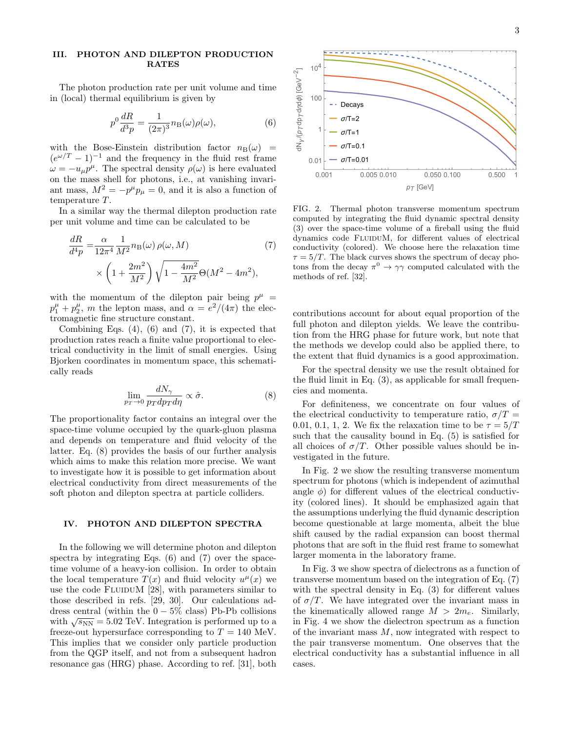## III. PHOTON AND DILEPTON PRODUCTION RATES

The photon production rate per unit volume and time in (local) thermal equilibrium is given by

$$
p^0 \frac{dR}{d^3 p} = \frac{1}{(2\pi)^3} n_\text{B}(\omega) \rho(\omega),\tag{6}
$$

with the Bose-Einstein distribution factor  $n_B(\omega)$  =  $(e^{\omega/T}-1)^{-1}$  and the frequency in the fluid rest frame  $\omega = -u_{\mu}p^{\mu}$ . The spectral density  $\rho(\omega)$  is here evaluated on the mass shell for photons, i.e., at vanishing invariant mass,  $M^2 = -p^{\mu}p_{\mu} = 0$ , and it is also a function of temperature T.

In a similar way the thermal dilepton production rate per unit volume and time can be calculated to be

$$
\frac{dR}{d^4p} = \frac{\alpha}{12\pi^4} \frac{1}{M^2} n_{\rm B}(\omega) \rho(\omega, M) \qquad (7)
$$

$$
\times \left(1 + \frac{2m^2}{M^2}\right) \sqrt{1 - \frac{4m^2}{M^2}} \Theta(M^2 - 4m^2),
$$

with the momentum of the dilepton pair being  $p^{\mu}$  =  $p_1^{\mu} + p_2^{\mu}$ , *m* the lepton mass, and  $\alpha = e^2/(4\pi)$  the electromagnetic fine structure constant.

Combining Eqs. [\(4\)](#page-1-3), [\(6\)](#page-2-0) and [\(7\)](#page-2-1), it is expected that production rates reach a finite value proportional to electrical conductivity in the limit of small energies. Using Bjorken coordinates in momentum space, this schematically reads

<span id="page-2-2"></span>
$$
\lim_{p_T \to 0} \frac{dN_\gamma}{p_T dp_T d\eta} \propto \hat{\sigma}.
$$
\n(8)

The proportionality factor contains an integral over the space-time volume occupied by the quark-gluon plasma and depends on temperature and fluid velocity of the latter. Eq. [\(8\)](#page-2-2) provides the basis of our further analysis which aims to make this relation more precise. We want to investigate how it is possible to get information about electrical conductivity from direct measurements of the soft photon and dilepton spectra at particle colliders.

## IV. PHOTON AND DILEPTON SPECTRA

In the following we will determine photon and dilepton spectra by integrating Eqs. [\(6\)](#page-2-0) and [\(7\)](#page-2-1) over the spacetime volume of a heavy-ion collision. In order to obtain the local temperature  $T(x)$  and fluid velocity  $u^{\mu}(x)$  we use the code FLUIDUM  $[28]$ , with parameters similar to those described in refs. [\[29,](#page-5-25) [30\]](#page-5-26). Our calculations address central (within the  $0 - 5\%$  class) Pb-Pb collisions with  $\sqrt{s_{NN}}$  = 5.02 TeV. Integration is performed up to a freeze-out hypersurface corresponding to  $T = 140$  MeV. This implies that we consider only particle production from the QGP itself, and not from a subsequent hadron resonance gas (HRG) phase. According to ref. [\[31\]](#page-5-27), both

<span id="page-2-0"></span>

<span id="page-2-3"></span><span id="page-2-1"></span>FIG. 2. Thermal photon transverse momentum spectrum computed by integrating the fluid dynamic spectral density [\(3\)](#page-1-1) over the space-time volume of a fireball using the fluid dynamics code FLUIDUM, for different values of electrical conductivity (colored). We choose here the relaxation time  $\tau = 5/T$ . The black curves shows the spectrum of decay photons from the decay  $\pi^0 \to \gamma\gamma$  computed calculated with the methods of ref. [\[32\]](#page-5-28).

contributions account for about equal proportion of the full photon and dilepton yields. We leave the contribution from the HRG phase for future work, but note that the methods we develop could also be applied there, to the extent that fluid dynamics is a good approximation.

For the spectral density we use the result obtained for the fluid limit in Eq.  $(3)$ , as applicable for small frequencies and momenta.

For definiteness, we concentrate on four values of the electrical conductivity to temperature ratio,  $\sigma/T =$ 0.01, 0.1, 1, 2. We fix the relaxation time to be  $\tau = 5/T$ such that the causality bound in Eq. [\(5\)](#page-1-4) is satisfied for all choices of  $\sigma/T$ . Other possible values should be investigated in the future.

In Fig. [2](#page-2-3) we show the resulting transverse momentum spectrum for photons (which is independent of azimuthal angle  $\phi$ ) for different values of the electrical conductivity (colored lines). It should be emphasized again that the assumptions underlying the fluid dynamic description become questionable at large momenta, albeit the blue shift caused by the radial expansion can boost thermal photons that are soft in the fluid rest frame to somewhat larger momenta in the laboratory frame.

In Fig. [3](#page-3-0) we show spectra of dielectrons as a function of transverse momentum based on the integration of Eq. [\(7\)](#page-2-1) with the spectral density in Eq.  $(3)$  for different values of  $\sigma/T$ . We have integrated over the invariant mass in the kinematically allowed range  $M > 2m_e$ . Similarly, in Fig. [4](#page-3-1) we show the dielectron spectrum as a function of the invariant mass M, now integrated with respect to the pair transverse momentum. One observes that the electrical conductivity has a substantial influence in all cases.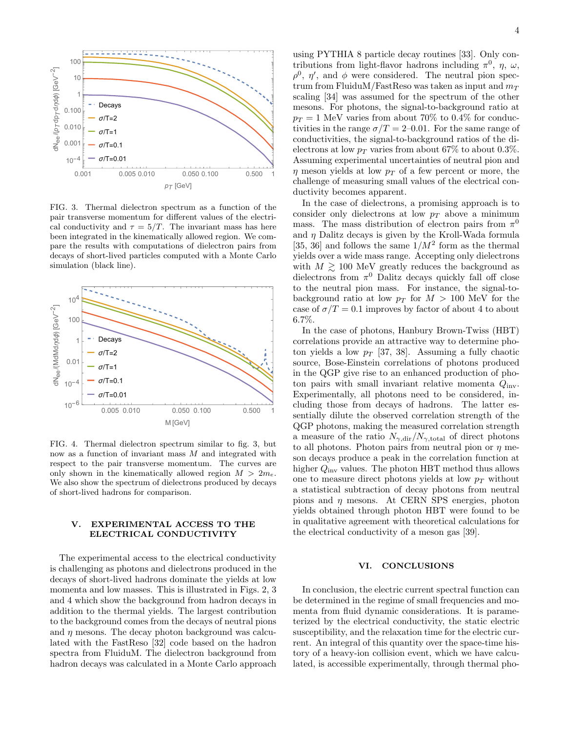

<span id="page-3-0"></span>FIG. 3. Thermal dielectron spectrum as a function of the pair transverse momentum for different values of the electrical conductivity and  $\tau = 5/T$ . The invariant mass has here been integrated in the kinematically allowed region. We compare the results with computations of dielectron pairs from decays of short-lived particles computed with a Monte Carlo simulation (black line).



<span id="page-3-1"></span>FIG. 4. Thermal dielectron spectrum similar to fig. [3,](#page-3-0) but now as a function of invariant mass M and integrated with respect to the pair transverse momentum. The curves are only shown in the kinematically allowed region  $M > 2m_e$ . We also show the spectrum of dielectrons produced by decays of short-lived hadrons for comparison.

# V. EXPERIMENTAL ACCESS TO THE ELECTRICAL CONDUCTIVITY

The experimental access to the electrical conductivity is challenging as photons and dielectrons produced in the decays of short-lived hadrons dominate the yields at low momenta and low masses. This is illustrated in Figs. [2,](#page-2-3) [3](#page-3-0) and [4](#page-3-1) which show the background from hadron decays in addition to the thermal yields. The largest contribution to the background comes from the decays of neutral pions and  $\eta$  mesons. The decay photon background was calculated with the FastReso [\[32\]](#page-5-28) code based on the hadron spectra from FluiduM. The dielectron background from hadron decays was calculated in a Monte Carlo approach

using PYTHIA 8 particle decay routines [\[33\]](#page-5-29). Only contributions from light-flavor hadrons including  $\pi^0$ ,  $\eta$ ,  $\omega$ ,  $\rho^0$ ,  $\eta'$ , and  $\phi$  were considered. The neutral pion spectrum from FluiduM/FastReso was taken as input and  $m_T$ scaling [\[34\]](#page-5-30) was assumed for the spectrum of the other mesons. For photons, the signal-to-background ratio at  $p_T = 1$  MeV varies from about 70% to 0.4% for conductivities in the range  $\sigma/T = 2{\text -}0.01$ . For the same range of conductivities, the signal-to-background ratios of the dielectrons at low  $p_T$  varies from about 67% to about 0.3%. Assuming experimental uncertainties of neutral pion and  $\eta$  meson yields at low  $p_T$  of a few percent or more, the challenge of measuring small values of the electrical conductivity becomes apparent.

In the case of dielectrons, a promising approach is to consider only dielectrons at low  $p_T$  above a minimum mass. The mass distribution of electron pairs from  $\pi^0$ and  $\eta$  Dalitz decays is given by the Kroll-Wada formula [\[35,](#page-5-31) [36\]](#page-5-32) and follows the same  $1/M^2$  form as the thermal yields over a wide mass range. Accepting only dielectrons with  $M \gtrsim 100$  MeV greatly reduces the background as dielectrons from  $\pi^0$  Dalitz decays quickly fall off close to the neutral pion mass. For instance, the signal-tobackground ratio at low  $p_T$  for  $M > 100$  MeV for the case of  $\sigma/T = 0.1$  improves by factor of about 4 to about 6.7%.

In the case of photons, Hanbury Brown-Twiss (HBT) correlations provide an attractive way to determine photon yields a low  $p_T$  [\[37,](#page-5-33) [38\]](#page-6-0). Assuming a fully chaotic source, Bose-Einstein correlations of photons produced in the QGP give rise to an enhanced production of photon pairs with small invariant relative momenta  $Q_{\text{inv}}$ . Experimentally, all photons need to be considered, including those from decays of hadrons. The latter essentially dilute the observed correlation strength of the QGP photons, making the measured correlation strength a measure of the ratio  $N_{\gamma,dir}/N_{\gamma,total}$  of direct photons to all photons. Photon pairs from neutral pion or  $\eta$  meson decays produce a peak in the correlation function at higher  $Q_{\text{inv}}$  values. The photon HBT method thus allows one to measure direct photons yields at low  $p_T$  without a statistical subtraction of decay photons from neutral pions and  $\eta$  mesons. At CERN SPS energies, photon yields obtained through photon HBT were found to be in qualitative agreement with theoretical calculations for the electrical conductivity of a meson gas [\[39\]](#page-6-1).

### VI. CONCLUSIONS

In conclusion, the electric current spectral function can be determined in the regime of small frequencies and momenta from fluid dynamic considerations. It is parameterized by the electrical conductivity, the static electric susceptibility, and the relaxation time for the electric current. An integral of this quantity over the space-time history of a heavy-ion collision event, which we have calculated, is accessible experimentally, through thermal pho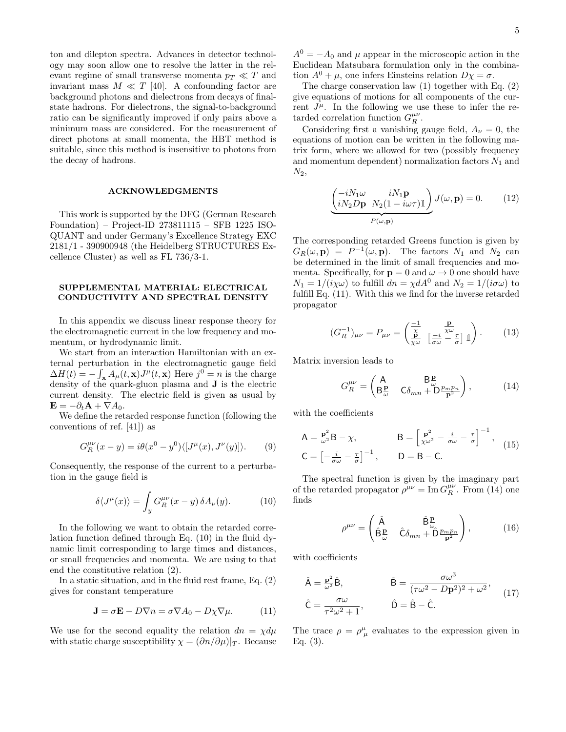ton and dilepton spectra. Advances in detector technology may soon allow one to resolve the latter in the relevant regime of small transverse momenta  $p_T \ll T$  and invariant mass  $M \ll T$  [\[40\]](#page-6-2). A confounding factor are background photons and dielectrons from decays of finalstate hadrons. For dielectrons, the signal-to-background ratio can be significantly improved if only pairs above a minimum mass are considered. For the measurement of direct photons at small momenta, the HBT method is suitable, since this method is insensitive to photons from the decay of hadrons.

#### ACKNOWLEDGMENTS

This work is supported by the DFG (German Research Foundation) – Project-ID 273811115 – SFB 1225 ISO-QUANT and under Germany's Excellence Strategy EXC 2181/1 - 390900948 (the Heidelberg STRUCTURES Excellence Cluster) as well as FL 736/3-1.

#### SUPPLEMENTAL MATERIAL: ELECTRICAL CONDUCTIVITY AND SPECTRAL DENSITY

In this appendix we discuss linear response theory for the electromagnetic current in the low frequency and momentum, or hydrodynamic limit.

We start from an interaction Hamiltonian with an external perturbation in the electromagnetic gauge field  $\Delta H(t) = -\int_{\mathbf{x}} A_{\mu}(t, \mathbf{x}) J^{\mu}(t, \mathbf{x})$  Here  $j^0 = n$  is the charge density of the quark-gluon plasma and J is the electric current density. The electric field is given as usual by  $\mathbf{E} = -\partial_t \mathbf{A} + \nabla A_0.$ 

We define the retarded response function (following the conventions of ref. [\[41\]](#page-6-3)) as

$$
G_R^{\mu\nu}(x-y) = i\theta(x^0 - y^0) \langle [J^\mu(x), J^\nu(y)] \rangle.
$$
 (9)

Consequently, the response of the current to a perturbation in the gauge field is

<span id="page-4-0"></span>
$$
\delta \langle J^{\mu}(x) \rangle = \int_{y} G_{R}^{\mu \nu}(x - y) \, \delta A_{\nu}(y). \tag{10}
$$

In the following we want to obtain the retarded correlation function defined through Eq. [\(10\)](#page-4-0) in the fluid dynamic limit corresponding to large times and distances, or small frequencies and momenta. We are using to that end the constitutive relation [\(2\)](#page-1-0).

In a static situation, and in the fluid rest frame, Eq. [\(2\)](#page-1-0) gives for constant temperature

<span id="page-4-1"></span>
$$
\mathbf{J} = \sigma \mathbf{E} - D \nabla n = \sigma \nabla A_0 - D \chi \nabla \mu. \tag{11}
$$

We use for the second equality the relation  $dn = \chi d\mu$ with static charge susceptibility  $\chi = (\partial n/\partial \mu)|_T$ . Because

 $A^{0} = -A_{0}$  and  $\mu$  appear in the microscopic action in the Euclidean Matsubara formulation only in the combination  $A^0 + \mu$ , one infers Einsteins relation  $D\chi = \sigma$ .

The charge conservation law [\(1\)](#page-1-5) together with Eq. [\(2\)](#page-1-0) give equations of motions for all components of the current  $J^{\mu}$ . In the following we use these to infer the retarded correlation function  $G_R^{\mu\nu}$ .

Considering first a vanishing gauge field,  $A_{\nu} = 0$ , the equations of motion can be written in the following matrix form, where we allowed for two (possibly frequency and momentum dependent) normalization factors  $N_1$  and  $N_2$ ,

$$
\underbrace{\begin{pmatrix} -iN_1\omega & iN_1\mathbf{p} \\ iN_2D\mathbf{p} & N_2(1-i\omega\tau)\mathbb{1} \end{pmatrix}}_{P(\omega,\mathbf{p})} J(\omega,\mathbf{p}) = 0.
$$
 (12)

The corresponding retarded Greens function is given by  $G_R(\omega, \mathbf{p}) = P^{-1}(\omega, \mathbf{p}).$  The factors  $N_1$  and  $N_2$  can be determined in the limit of small frequencies and momenta. Specifically, for  $p = 0$  and  $\omega \to 0$  one should have  $N_1 = 1/(i\chi\omega)$  to fulfill  $dn = \chi dA^0$  and  $N_2 = 1/(i\sigma\omega)$  to fulfill Eq. [\(11\)](#page-4-1). With this we find for the inverse retarded propagator

$$
(G_R^{-1})_{\mu\nu} = P_{\mu\nu} = \begin{pmatrix} \frac{-1}{\chi} & \frac{\mathbf{p}}{\chi\omega} \\ \frac{\mathbf{p}}{\chi\omega} & \left[\frac{-i}{\sigma\omega} - \frac{\tau}{\sigma}\right] \mathbb{1} \end{pmatrix}.
$$
 (13)

Matrix inversion leads to

<span id="page-4-2"></span>
$$
G_R^{\mu\nu} = \begin{pmatrix} \mathsf{A} & \mathsf{B}_{\omega}^{\mathbf{p}} \\ \mathsf{B}_{\omega}^{\mathbf{p}} & \mathsf{C}\delta_{mn} + \mathsf{D}\frac{p_m p_n}{\mathbf{p}^2} \end{pmatrix},\tag{14}
$$

with the coefficients

$$
A = \frac{\mathbf{p}^2}{\omega^2} \mathbf{B} - \chi, \qquad \qquad B = \left[ \frac{\mathbf{p}^2}{\chi \omega^2} - \frac{i}{\sigma \omega} - \frac{\tau}{\sigma} \right]^{-1}, \qquad (15)
$$

$$
\mathbf{C} = \left[ -\frac{i}{\sigma \omega} - \frac{\tau}{\sigma} \right]^{-1}, \qquad \mathbf{D} = \mathbf{B} - \mathbf{C}.
$$

The spectral function is given by the imaginary part of the retarded propagator  $\rho^{\mu\nu} = \text{Im} G_R^{\mu\nu}$ . From [\(14\)](#page-4-2) one finds

$$
\rho^{\mu\nu} = \begin{pmatrix} \hat{A} & \hat{B}^{\underline{p}}_{\omega} \\ \hat{B}^{\underline{p}}_{\omega} & \hat{C}\delta_{mn} + \hat{D}^{\underline{p}_{m}\underline{p}_{n}} \\ \end{pmatrix}, \qquad (16)
$$

with coefficients

$$
\hat{\mathsf{A}} = \frac{\mathbf{p}^2}{\omega^2} \hat{\mathsf{B}}, \qquad \hat{\mathsf{B}} = \frac{\sigma \omega^3}{(\tau \omega^2 - D\mathbf{p}^2)^2 + \omega^2},
$$
\n
$$
\hat{\mathsf{C}} = \frac{\sigma \omega}{\tau^2 \omega^2 + 1}, \qquad \hat{\mathsf{D}} = \hat{\mathsf{B}} - \hat{\mathsf{C}}.
$$
\n(17)

The trace  $\rho = \rho^{\mu}_{\mu}$  evaluates to the expression given in Eq. [\(3\)](#page-1-1).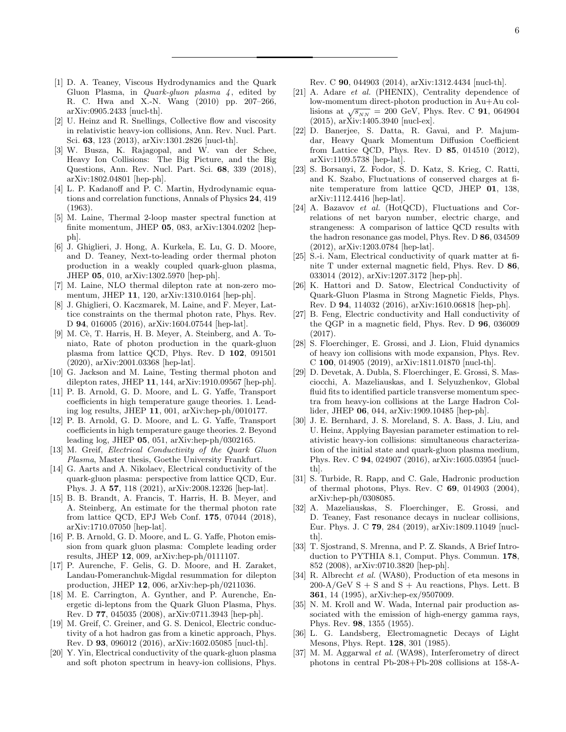- <span id="page-5-0"></span>[1] D. A. Teaney, Viscous Hydrodynamics and the Quark Gluon Plasma, in *Quark-gluon plasma*  $4$ , edited by R. C. Hwa and X.-N. Wang (2010) pp. 207–266, [arXiv:0905.2433 \[nucl-th\].](https://arxiv.org/abs/0905.2433)
- [2] U. Heinz and R. Snellings, Collective flow and viscosity in relativistic heavy-ion collisions, [Ann. Rev. Nucl. Part.](https://doi.org/10.1146/annurev-nucl-102212-170540) Sci. 63[, 123 \(2013\),](https://doi.org/10.1146/annurev-nucl-102212-170540) [arXiv:1301.2826 \[nucl-th\].](https://arxiv.org/abs/1301.2826)
- <span id="page-5-1"></span>[3] W. Busza, K. Rajagopal, and W. van der Schee, Heavy Ion Collisions: The Big Picture, and the Big Questions, [Ann. Rev. Nucl. Part. Sci.](https://doi.org/10.1146/annurev-nucl-101917-020852) 68, 339 (2018), [arXiv:1802.04801 \[hep-ph\].](https://arxiv.org/abs/1802.04801)
- <span id="page-5-2"></span>[4] L. P. Kadanoff and P. C. Martin, Hydrodynamic equations and correlation functions, Annals of Physics 24, 419 (1963).
- <span id="page-5-3"></span>[5] M. Laine, Thermal 2-loop master spectral function at finite momentum, [JHEP](https://doi.org/10.1007/JHEP05(2013)083) 05, 083, [arXiv:1304.0202 \[hep](https://arxiv.org/abs/1304.0202)[ph\].](https://arxiv.org/abs/1304.0202)
- <span id="page-5-14"></span>[6] J. Ghiglieri, J. Hong, A. Kurkela, E. Lu, G. D. Moore, and D. Teaney, Next-to-leading order thermal photon production in a weakly coupled quark-gluon plasma, [JHEP](https://doi.org/10.1007/JHEP05(2013)010) 05, 010, [arXiv:1302.5970 \[hep-ph\].](https://arxiv.org/abs/1302.5970)
- <span id="page-5-4"></span>[7] M. Laine, NLO thermal dilepton rate at non-zero momentum, [JHEP](https://doi.org/10.1007/JHEP11(2013)120) 11, 120, [arXiv:1310.0164 \[hep-ph\].](https://arxiv.org/abs/1310.0164)
- <span id="page-5-5"></span>[8] J. Ghiglieri, O. Kaczmarek, M. Laine, and F. Meyer, Lattice constraints on the thermal photon rate, [Phys. Rev.](https://doi.org/10.1103/PhysRevD.94.016005) D 94[, 016005 \(2016\),](https://doi.org/10.1103/PhysRevD.94.016005) [arXiv:1604.07544 \[hep-lat\].](https://arxiv.org/abs/1604.07544)
- [9] M. Cè, T. Harris, H. B. Meyer, A. Steinberg, and A. Toniato, Rate of photon production in the quark-gluon plasma from lattice QCD, [Phys. Rev. D](https://doi.org/10.1103/PhysRevD.102.091501) 102, 091501 [\(2020\),](https://doi.org/10.1103/PhysRevD.102.091501) [arXiv:2001.03368 \[hep-lat\].](https://arxiv.org/abs/2001.03368)
- <span id="page-5-6"></span>[10] G. Jackson and M. Laine, Testing thermal photon and dilepton rates, [JHEP](https://doi.org/10.1007/JHEP11(2019)144) 11, 144, [arXiv:1910.09567 \[hep-ph\].](https://arxiv.org/abs/1910.09567)
- <span id="page-5-7"></span>[11] P. B. Arnold, G. D. Moore, and L. G. Yaffe, Transport coefficients in high temperature gauge theories. 1. Leading log results, [JHEP](https://doi.org/10.1088/1126-6708/2000/11/001) 11, 001, [arXiv:hep-ph/0010177.](https://arxiv.org/abs/hep-ph/0010177)
- <span id="page-5-8"></span>[12] P. B. Arnold, G. D. Moore, and L. G. Yaffe, Transport coefficients in high temperature gauge theories. 2. Beyond leading log, [JHEP](https://doi.org/10.1088/1126-6708/2003/05/051) 05, 051, [arXiv:hep-ph/0302165.](https://arxiv.org/abs/hep-ph/0302165)
- <span id="page-5-9"></span>[13] M. Greif, Electrical Conductivity of the Quark Gluon Plasma, Master thesis, Goethe University Frankfurt.
- <span id="page-5-10"></span>[14] G. Aarts and A. Nikolaev, Electrical conductivity of the quark-gluon plasma: perspective from lattice QCD, [Eur.](https://doi.org/10.1140/epja/s10050-021-00436-5) Phys. J. A 57[, 118 \(2021\),](https://doi.org/10.1140/epja/s10050-021-00436-5) [arXiv:2008.12326 \[hep-lat\].](https://arxiv.org/abs/2008.12326)
- <span id="page-5-11"></span>[15] B. B. Brandt, A. Francis, T. Harris, H. B. Meyer, and A. Steinberg, An estimate for the thermal photon rate from lattice QCD, [EPJ Web Conf.](https://doi.org/10.1051/epjconf/201817507044) 175, 07044 (2018), [arXiv:1710.07050 \[hep-lat\].](https://arxiv.org/abs/1710.07050)
- <span id="page-5-12"></span>[16] P. B. Arnold, G. D. Moore, and L. G. Yaffe, Photon emission from quark gluon plasma: Complete leading order results, [JHEP](https://doi.org/10.1088/1126-6708/2001/12/009) 12, 009, [arXiv:hep-ph/0111107.](https://arxiv.org/abs/hep-ph/0111107)
- <span id="page-5-13"></span>[17] P. Aurenche, F. Gelis, G. D. Moore, and H. Zaraket, Landau-Pomeranchuk-Migdal resummation for dilepton production, [JHEP](https://doi.org/10.1088/1126-6708/2002/12/006) 12, 006, [arXiv:hep-ph/0211036.](https://arxiv.org/abs/hep-ph/0211036)
- <span id="page-5-15"></span>[18] M. E. Carrington, A. Gynther, and P. Aurenche, Energetic di-leptons from the Quark Gluon Plasma, [Phys.](https://doi.org/10.1103/PhysRevD.77.045035) Rev. D 77[, 045035 \(2008\),](https://doi.org/10.1103/PhysRevD.77.045035) [arXiv:0711.3943 \[hep-ph\].](https://arxiv.org/abs/0711.3943)
- <span id="page-5-16"></span>[19] M. Greif, C. Greiner, and G. S. Denicol, Electric conductivity of a hot hadron gas from a kinetic approach, [Phys.](https://doi.org/10.1103/PhysRevD.93.096012) Rev. D 93[, 096012 \(2016\),](https://doi.org/10.1103/PhysRevD.93.096012) [arXiv:1602.05085 \[nucl-th\].](https://arxiv.org/abs/1602.05085)
- <span id="page-5-17"></span>[20] Y. Yin, Electrical conductivity of the quark-gluon plasma and soft photon spectrum in heavy-ion collisions, [Phys.](https://doi.org/10.1103/PhysRevC.90.044903)

Rev. C 90[, 044903 \(2014\),](https://doi.org/10.1103/PhysRevC.90.044903) [arXiv:1312.4434 \[nucl-th\].](https://arxiv.org/abs/1312.4434)

- <span id="page-5-18"></span>[21] A. Adare et al. (PHENIX), Centrality dependence of low-momentum direct-photon production in Au+Au collisions at  $\sqrt{s_{NN}}$  = 200 GeV, [Phys. Rev. C](https://doi.org/10.1103/PhysRevC.91.064904) 91, 064904 [\(2015\),](https://doi.org/10.1103/PhysRevC.91.064904) [arXiv:1405.3940 \[nucl-ex\].](https://arxiv.org/abs/1405.3940)
- <span id="page-5-19"></span>[22] D. Banerjee, S. Datta, R. Gavai, and P. Majumdar, Heavy Quark Momentum Diffusion Coefficient from Lattice QCD, Phys. Rev. D 85[, 014510 \(2012\),](https://doi.org/10.1103/PhysRevD.85.014510) [arXiv:1109.5738 \[hep-lat\].](https://arxiv.org/abs/1109.5738)
- <span id="page-5-20"></span>[23] S. Borsanyi, Z. Fodor, S. D. Katz, S. Krieg, C. Ratti, and K. Szabo, Fluctuations of conserved charges at finite temperature from lattice QCD, [JHEP](https://doi.org/10.1007/JHEP01(2012)138) 01, 138, [arXiv:1112.4416 \[hep-lat\].](https://arxiv.org/abs/1112.4416)
- <span id="page-5-21"></span>[24] A. Bazavov et al. (HotQCD), Fluctuations and Correlations of net baryon number, electric charge, and strangeness: A comparison of lattice QCD results with the hadron resonance gas model, [Phys. Rev. D](https://doi.org/10.1103/PhysRevD.86.034509) 86, 034509 [\(2012\),](https://doi.org/10.1103/PhysRevD.86.034509) [arXiv:1203.0784 \[hep-lat\].](https://arxiv.org/abs/1203.0784)
- <span id="page-5-22"></span>[25] S.-i. Nam, Electrical conductivity of quark matter at finite T under external magnetic field, [Phys. Rev. D](https://doi.org/10.1103/PhysRevD.86.033014) 86, [033014 \(2012\),](https://doi.org/10.1103/PhysRevD.86.033014) [arXiv:1207.3172 \[hep-ph\].](https://arxiv.org/abs/1207.3172)
- [26] K. Hattori and D. Satow, Electrical Conductivity of Quark-Gluon Plasma in Strong Magnetic Fields, [Phys.](https://doi.org/10.1103/PhysRevD.94.114032) Rev. D 94[, 114032 \(2016\),](https://doi.org/10.1103/PhysRevD.94.114032) [arXiv:1610.06818 \[hep-ph\].](https://arxiv.org/abs/1610.06818)
- <span id="page-5-23"></span>[27] B. Feng, Electric conductivity and Hall conductivity of the QGP in a magnetic field, [Phys. Rev. D](https://doi.org/10.1103/PhysRevD.96.036009) 96, 036009 [\(2017\).](https://doi.org/10.1103/PhysRevD.96.036009)
- <span id="page-5-24"></span>[28] S. Floerchinger, E. Grossi, and J. Lion, Fluid dynamics of heavy ion collisions with mode expansion, [Phys. Rev.](https://doi.org/10.1103/PhysRevC.100.014905) C 100[, 014905 \(2019\),](https://doi.org/10.1103/PhysRevC.100.014905) [arXiv:1811.01870 \[nucl-th\].](https://arxiv.org/abs/1811.01870)
- <span id="page-5-25"></span>[29] D. Devetak, A. Dubla, S. Floerchinger, E. Grossi, S. Masciocchi, A. Mazeliauskas, and I. Selyuzhenkov, Global fluid fits to identified particle transverse momentum spectra from heavy-ion collisions at the Large Hadron Collider, [JHEP](https://doi.org/10.1007/JHEP06(2020)044) 06, 044, [arXiv:1909.10485 \[hep-ph\].](https://arxiv.org/abs/1909.10485)
- <span id="page-5-26"></span>[30] J. E. Bernhard, J. S. Moreland, S. A. Bass, J. Liu, and U. Heinz, Applying Bayesian parameter estimation to relativistic heavy-ion collisions: simultaneous characterization of the initial state and quark-gluon plasma medium, Phys. Rev. C 94[, 024907 \(2016\),](https://doi.org/10.1103/PhysRevC.94.024907) [arXiv:1605.03954 \[nucl](https://arxiv.org/abs/1605.03954)[th\].](https://arxiv.org/abs/1605.03954)
- <span id="page-5-27"></span>[31] S. Turbide, R. Rapp, and C. Gale, Hadronic production of thermal photons, Phys. Rev. C 69[, 014903 \(2004\),](https://doi.org/10.1103/PhysRevC.69.014903) [arXiv:hep-ph/0308085.](https://arxiv.org/abs/hep-ph/0308085)
- <span id="page-5-28"></span>[32] A. Mazeliauskas, S. Floerchinger, E. Grossi, and D. Teaney, Fast resonance decays in nuclear collisions, [Eur. Phys. J. C](https://doi.org/10.1140/epjc/s10052-019-6791-7) 79, 284 (2019), [arXiv:1809.11049 \[nucl](https://arxiv.org/abs/1809.11049)[th\].](https://arxiv.org/abs/1809.11049)
- <span id="page-5-29"></span>[33] T. Sjostrand, S. Mrenna, and P. Z. Skands, A Brief Introduction to PYTHIA 8.1, [Comput. Phys. Commun.](https://doi.org/10.1016/j.cpc.2008.01.036) 178, [852 \(2008\),](https://doi.org/10.1016/j.cpc.2008.01.036) [arXiv:0710.3820 \[hep-ph\].](https://arxiv.org/abs/0710.3820)
- <span id="page-5-30"></span>[34] R. Albrecht et al. (WA80), Production of eta mesons in  $200-A/\text{GeV}$  S + S and S + Au reactions, [Phys. Lett. B](https://doi.org/10.1016/0370-2693(95)01166-N) 361[, 14 \(1995\),](https://doi.org/10.1016/0370-2693(95)01166-N) [arXiv:hep-ex/9507009.](https://arxiv.org/abs/hep-ex/9507009)
- <span id="page-5-31"></span>[35] N. M. Kroll and W. Wada, Internal pair production associated with the emission of high-energy gamma rays, Phys. Rev. 98[, 1355 \(1955\).](https://doi.org/10.1103/PhysRev.98.1355)
- <span id="page-5-32"></span>[36] L. G. Landsberg, Electromagnetic Decays of Light Mesons, Phys. Rept. 128[, 301 \(1985\).](https://doi.org/10.1016/0370-1573(85)90129-2)
- <span id="page-5-33"></span>[37] M. M. Aggarwal et al. (WA98), Interferometry of direct photons in central Pb-208+Pb-208 collisions at 158-A-